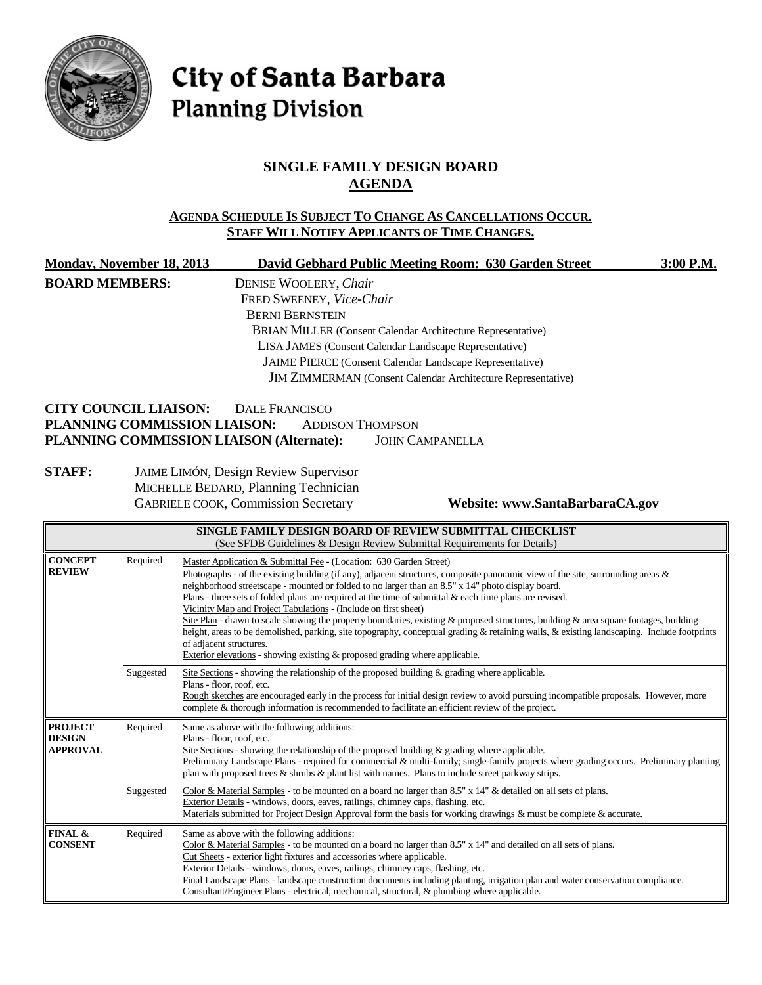

# City of Santa Barbara **Planning Division**

# **SINGLE FAMILY DESIGN BOARD AGENDA**

#### **AGENDA SCHEDULE IS SUBJECT TO CHANGE AS CANCELLATIONS OCCUR. STAFF WILL NOTIFY APPLICANTS OF TIME CHANGES.**

| Monday, November 18, 2013                   |                                                                                                                                                                | David Gebhard Public Meeting Room: 630 Garden Street<br>3:00 P.M.                                                                                                                                                                                                                                                                                                                                                                                                                                                                                                                                                                                                                                                                                                                                                                                                                               |  |  |
|---------------------------------------------|----------------------------------------------------------------------------------------------------------------------------------------------------------------|-------------------------------------------------------------------------------------------------------------------------------------------------------------------------------------------------------------------------------------------------------------------------------------------------------------------------------------------------------------------------------------------------------------------------------------------------------------------------------------------------------------------------------------------------------------------------------------------------------------------------------------------------------------------------------------------------------------------------------------------------------------------------------------------------------------------------------------------------------------------------------------------------|--|--|
| <b>BOARD MEMBERS:</b>                       |                                                                                                                                                                | DENISE WOOLERY, Chair<br>FRED SWEENEY, Vice-Chair<br><b>BERNI BERNSTEIN</b>                                                                                                                                                                                                                                                                                                                                                                                                                                                                                                                                                                                                                                                                                                                                                                                                                     |  |  |
|                                             |                                                                                                                                                                | BRIAN MILLER (Consent Calendar Architecture Representative)<br>LISA JAMES (Consent Calendar Landscape Representative)                                                                                                                                                                                                                                                                                                                                                                                                                                                                                                                                                                                                                                                                                                                                                                           |  |  |
|                                             |                                                                                                                                                                | JAIME PIERCE (Consent Calendar Landscape Representative)                                                                                                                                                                                                                                                                                                                                                                                                                                                                                                                                                                                                                                                                                                                                                                                                                                        |  |  |
|                                             |                                                                                                                                                                | JIM ZIMMERMAN (Consent Calendar Architecture Representative)                                                                                                                                                                                                                                                                                                                                                                                                                                                                                                                                                                                                                                                                                                                                                                                                                                    |  |  |
| <b>CITY COUNCIL LIAISON:</b>                |                                                                                                                                                                | <b>DALE FRANCISCO</b><br>PLANNING COMMISSION LIAISON:<br><b>ADDISON THOMPSON</b><br>PLANNING COMMISSION LIAISON (Alternate):<br><b>JOHN CAMPANELLA</b>                                                                                                                                                                                                                                                                                                                                                                                                                                                                                                                                                                                                                                                                                                                                          |  |  |
| <b>STAFF:</b>                               | JAIME LIMÓN, Design Review Supervisor<br>MICHELLE BEDARD, Planning Technician<br><b>GABRIELE COOK, Commission Secretary</b><br>Website: www.SantaBarbaraCA.gov |                                                                                                                                                                                                                                                                                                                                                                                                                                                                                                                                                                                                                                                                                                                                                                                                                                                                                                 |  |  |
|                                             |                                                                                                                                                                | SINGLE FAMILY DESIGN BOARD OF REVIEW SUBMITTAL CHECKLIST<br>(See SFDB Guidelines & Design Review Submittal Requirements for Details)                                                                                                                                                                                                                                                                                                                                                                                                                                                                                                                                                                                                                                                                                                                                                            |  |  |
| <b>CONCEPT</b><br><b>REVIEW</b>             | Required                                                                                                                                                       | Master Application & Submittal Fee - (Location: 630 Garden Street)<br>Photographs - of the existing building (if any), adjacent structures, composite panoramic view of the site, surrounding areas $\&$<br>neighborhood streetscape - mounted or folded to no larger than an 8.5" x 14" photo display board.<br>Plans - three sets of folded plans are required at the time of submittal & each time plans are revised.<br>Vicinity Map and Project Tabulations - (Include on first sheet)<br>Site Plan - drawn to scale showing the property boundaries, existing & proposed structures, building & area square footages, building<br>height, areas to be demolished, parking, site topography, conceptual grading & retaining walls, & existing landscaping. Include footprints<br>of adjacent structures.<br>Exterior elevations - showing existing $\&$ proposed grading where applicable. |  |  |
|                                             | Suggested                                                                                                                                                      | Site Sections - showing the relationship of the proposed building & grading where applicable.<br>Plans - floor, roof, etc.<br>Rough sketches are encouraged early in the process for initial design review to avoid pursuing incompatible proposals. However, more<br>complete & thorough information is recommended to facilitate an efficient review of the project.                                                                                                                                                                                                                                                                                                                                                                                                                                                                                                                          |  |  |
| <b>PROJECT</b><br><b>DESIGN</b><br>APPROVAL | Required                                                                                                                                                       | Same as above with the following additions:<br>Plans - floor, roof, etc.<br>Site Sections - showing the relationship of the proposed building $\&$ grading where applicable.<br>Preliminary Landscape Plans - required for commercial & multi-family; single-family projects where grading occurs. Preliminary planting<br>plan with proposed trees $\&$ shrubs $\&$ plant list with names. Plans to include street parkway strips.                                                                                                                                                                                                                                                                                                                                                                                                                                                             |  |  |
|                                             | Suggested                                                                                                                                                      | Color & Material Samples - to be mounted on a board no larger than $8.5"$ x $14"$ & detailed on all sets of plans.<br>Exterior Details - windows, doors, eaves, railings, chimney caps, flashing, etc.<br>Materials submitted for Project Design Approval form the basis for working drawings & must be complete & accurate.                                                                                                                                                                                                                                                                                                                                                                                                                                                                                                                                                                    |  |  |
| <b>FINAL &amp;</b><br><b>CONSENT</b>        | Required                                                                                                                                                       | Same as above with the following additions:<br>Color & Material Samples - to be mounted on a board no larger than 8.5" x 14" and detailed on all sets of plans.<br>Cut Sheets - exterior light fixtures and accessories where applicable.                                                                                                                                                                                                                                                                                                                                                                                                                                                                                                                                                                                                                                                       |  |  |

Exterior Details - windows, doors, eaves, railings, chimney caps, flashing, etc.

Consultant/Engineer Plans - electrical, mechanical, structural, & plumbing where applicable.

Final Landscape Plans - landscape construction documents including planting, irrigation plan and water conservation compliance.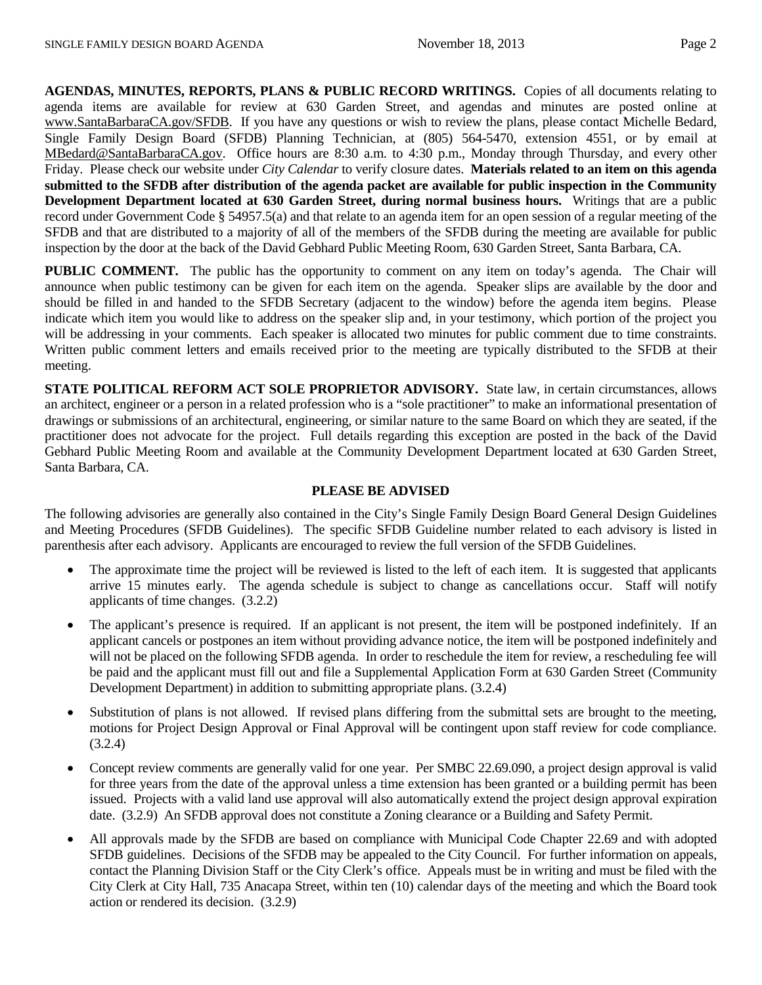**AGENDAS, MINUTES, REPORTS, PLANS & PUBLIC RECORD WRITINGS.** Copies of all documents relating to agenda items are available for review at 630 Garden Street, and agendas and minutes are posted online at [www.SantaBarbaraCA.gov/SFDB.](http://www.santabarbaraca.gov/ABR) If you have any questions or wish to review the plans, please contact Michelle Bedard, Single Family Design Board (SFDB) Planning Technician, at (805) 564-5470, extension 4551, or by email at [MBedard@SantaBarbaraCA.gov.](mailto:MBedard@SantaBarbaraCA.gov) Office hours are 8:30 a.m. to 4:30 p.m., Monday through Thursday, and every other Friday. Please check our website under *City Calendar* to verify closure dates. **Materials related to an item on this agenda submitted to the SFDB after distribution of the agenda packet are available for public inspection in the Community Development Department located at 630 Garden Street, during normal business hours.** Writings that are a public record under Government Code § 54957.5(a) and that relate to an agenda item for an open session of a regular meeting of the SFDB and that are distributed to a majority of all of the members of the SFDB during the meeting are available for public inspection by the door at the back of the David Gebhard Public Meeting Room, 630 Garden Street, Santa Barbara, CA.

**PUBLIC COMMENT.** The public has the opportunity to comment on any item on today's agenda. The Chair will announce when public testimony can be given for each item on the agenda. Speaker slips are available by the door and should be filled in and handed to the SFDB Secretary (adjacent to the window) before the agenda item begins. Please indicate which item you would like to address on the speaker slip and, in your testimony, which portion of the project you will be addressing in your comments. Each speaker is allocated two minutes for public comment due to time constraints. Written public comment letters and emails received prior to the meeting are typically distributed to the SFDB at their meeting.

**STATE POLITICAL REFORM ACT SOLE PROPRIETOR ADVISORY.** State law, in certain circumstances, allows an architect, engineer or a person in a related profession who is a "sole practitioner" to make an informational presentation of drawings or submissions of an architectural, engineering, or similar nature to the same Board on which they are seated, if the practitioner does not advocate for the project. Full details regarding this exception are posted in the back of the David Gebhard Public Meeting Room and available at the Community Development Department located at 630 Garden Street, Santa Barbara, CA.

#### **PLEASE BE ADVISED**

The following advisories are generally also contained in the City's Single Family Design Board General Design Guidelines and Meeting Procedures (SFDB Guidelines). The specific SFDB Guideline number related to each advisory is listed in parenthesis after each advisory. Applicants are encouraged to review the full version of the SFDB Guidelines.

- The approximate time the project will be reviewed is listed to the left of each item. It is suggested that applicants arrive 15 minutes early. The agenda schedule is subject to change as cancellations occur. Staff will notify applicants of time changes. (3.2.2)
- The applicant's presence is required. If an applicant is not present, the item will be postponed indefinitely. If an applicant cancels or postpones an item without providing advance notice, the item will be postponed indefinitely and will not be placed on the following SFDB agenda. In order to reschedule the item for review, a rescheduling fee will be paid and the applicant must fill out and file a Supplemental Application Form at 630 Garden Street (Community Development Department) in addition to submitting appropriate plans. (3.2.4)
- Substitution of plans is not allowed. If revised plans differing from the submittal sets are brought to the meeting, motions for Project Design Approval or Final Approval will be contingent upon staff review for code compliance. (3.2.4)
- Concept review comments are generally valid for one year. Per SMBC 22.69.090, a project design approval is valid for three years from the date of the approval unless a time extension has been granted or a building permit has been issued. Projects with a valid land use approval will also automatically extend the project design approval expiration date. (3.2.9) An SFDB approval does not constitute a Zoning clearance or a Building and Safety Permit.
- All approvals made by the SFDB are based on compliance with Municipal Code Chapter 22.69 and with adopted SFDB guidelines. Decisions of the SFDB may be appealed to the City Council. For further information on appeals, contact the Planning Division Staff or the City Clerk's office. Appeals must be in writing and must be filed with the City Clerk at City Hall, 735 Anacapa Street, within ten (10) calendar days of the meeting and which the Board took action or rendered its decision. (3.2.9)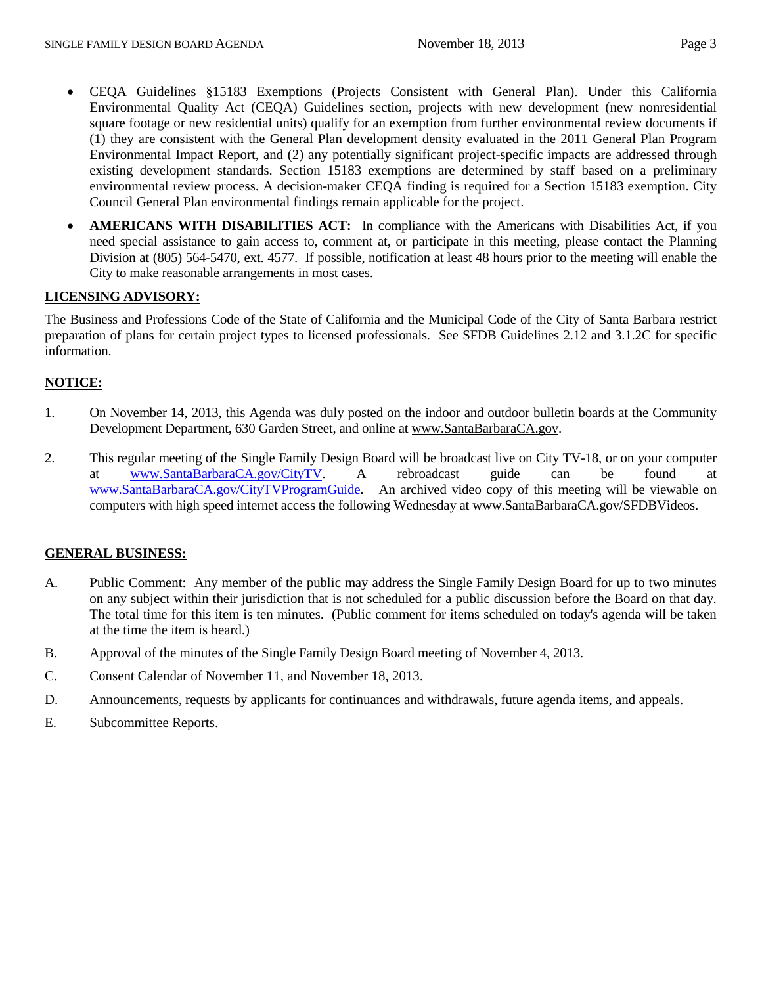- CEQA Guidelines §15183 Exemptions (Projects Consistent with General Plan). Under this California Environmental Quality Act (CEQA) Guidelines section, projects with new development (new nonresidential square footage or new residential units) qualify for an exemption from further environmental review documents if (1) they are consistent with the General Plan development density evaluated in the 2011 General Plan Program Environmental Impact Report, and (2) any potentially significant project-specific impacts are addressed through existing development standards. Section 15183 exemptions are determined by staff based on a preliminary environmental review process. A decision-maker CEQA finding is required for a Section 15183 exemption. City Council General Plan environmental findings remain applicable for the project.
- **AMERICANS WITH DISABILITIES ACT:** In compliance with the Americans with Disabilities Act, if you need special assistance to gain access to, comment at, or participate in this meeting, please contact the Planning Division at (805) 564-5470, ext. 4577. If possible, notification at least 48 hours prior to the meeting will enable the City to make reasonable arrangements in most cases.

# **LICENSING ADVISORY:**

The Business and Professions Code of the State of California and the Municipal Code of the City of Santa Barbara restrict preparation of plans for certain project types to licensed professionals. See SFDB Guidelines 2.12 and 3.1.2C for specific information.

## **NOTICE:**

- 1. On November 14, 2013, this Agenda was duly posted on the indoor and outdoor bulletin boards at the Community Development Department, 630 Garden Street, and online at [www.SantaBarbaraCA.gov.](http://www.santabarbaraca.gov/)
- 2. This regular meeting of the Single Family Design Board will be broadcast live on City TV-18, or on your computer at [www.SantaBarbaraCA.gov/CityTV.](http://www.santabarbaraca.gov/CityTV) A rebroadcast guide can be found at [www.SantaBarbaraCA.gov/CityTVProgramGuide.](http://www.santabarbaraca.gov/CityTVProgramGuide) An archived video copy of this meeting will be viewable on computers with high speed internet access the following Wednesday a[t www.SantaBarbaraCA.gov/SFDBVideos.](http://www.santabarbaraca.gov/SFDBVideos)

## **GENERAL BUSINESS:**

- A. Public Comment: Any member of the public may address the Single Family Design Board for up to two minutes on any subject within their jurisdiction that is not scheduled for a public discussion before the Board on that day. The total time for this item is ten minutes. (Public comment for items scheduled on today's agenda will be taken at the time the item is heard.)
- B. Approval of the minutes of the Single Family Design Board meeting of November 4, 2013.
- C. Consent Calendar of November 11, and November 18, 2013.
- D. Announcements, requests by applicants for continuances and withdrawals, future agenda items, and appeals.
- E. Subcommittee Reports.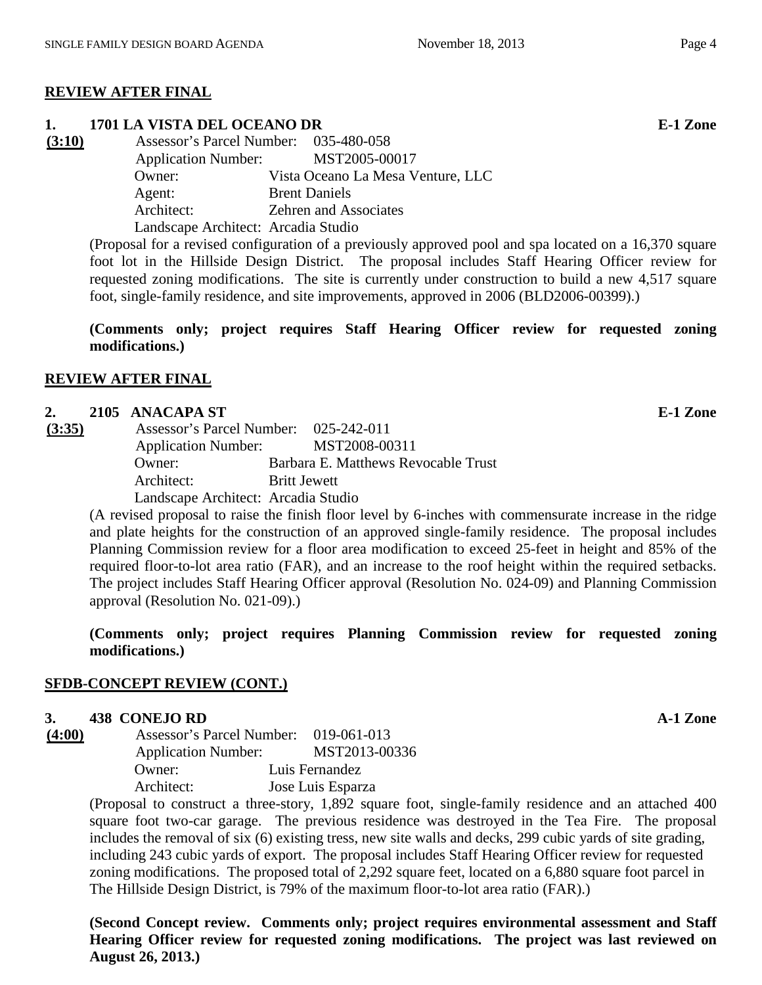# **REVIEW AFTER FINAL**

## **1. 1701 LA VISTA DEL OCEANO DR E-1 Zone**

**(3:10)** Assessor's Parcel Number: 035-480-058 Application Number: MST2005-00017 Owner: Vista Oceano La Mesa Venture, LLC Agent: Brent Daniels Architect: Zehren and Associates Landscape Architect: Arcadia Studio

(Proposal for a revised configuration of a previously approved pool and spa located on a 16,370 square foot lot in the Hillside Design District. The proposal includes Staff Hearing Officer review for requested zoning modifications. The site is currently under construction to build a new 4,517 square foot, single-family residence, and site improvements, approved in 2006 (BLD2006-00399).)

**(Comments only; project requires Staff Hearing Officer review for requested zoning modifications.)**

# **REVIEW AFTER FINAL**

# **2. 2105 ANACAPA ST E-1 Zone**

**(3:35)** Assessor's Parcel Number: 025-242-011 Application Number: MST2008-00311 Owner: Barbara E. Matthews Revocable Trust Architect: Britt Jewett Landscape Architect: Arcadia Studio

(A revised proposal to raise the finish floor level by 6-inches with commensurate increase in the ridge and plate heights for the construction of an approved single-family residence. The proposal includes Planning Commission review for a floor area modification to exceed 25-feet in height and 85% of the required floor-to-lot area ratio (FAR), and an increase to the roof height within the required setbacks. The project includes Staff Hearing Officer approval (Resolution No. 024-09) and Planning Commission approval (Resolution No. 021-09).)

**(Comments only; project requires Planning Commission review for requested zoning modifications.)**

# **SFDB-CONCEPT REVIEW (CONT.)**

# **3. 438 CONEJO RD A-1 Zone**

**(4:00)** Assessor's Parcel Number: 019-061-013 Application Number: MST2013-00336 Owner: Luis Fernandez Architect: Jose Luis Esparza

(Proposal to construct a three-story, 1,892 square foot, single-family residence and an attached 400 square foot two-car garage. The previous residence was destroyed in the Tea Fire. The proposal includes the removal of six (6) existing tress, new site walls and decks, 299 cubic yards of site grading, including 243 cubic yards of export. The proposal includes Staff Hearing Officer review for requested zoning modifications. The proposed total of 2,292 square feet, located on a 6,880 square foot parcel in The Hillside Design District, is 79% of the maximum floor-to-lot area ratio (FAR).)

**(Second Concept review. Comments only; project requires environmental assessment and Staff Hearing Officer review for requested zoning modifications. The project was last reviewed on August 26, 2013.)**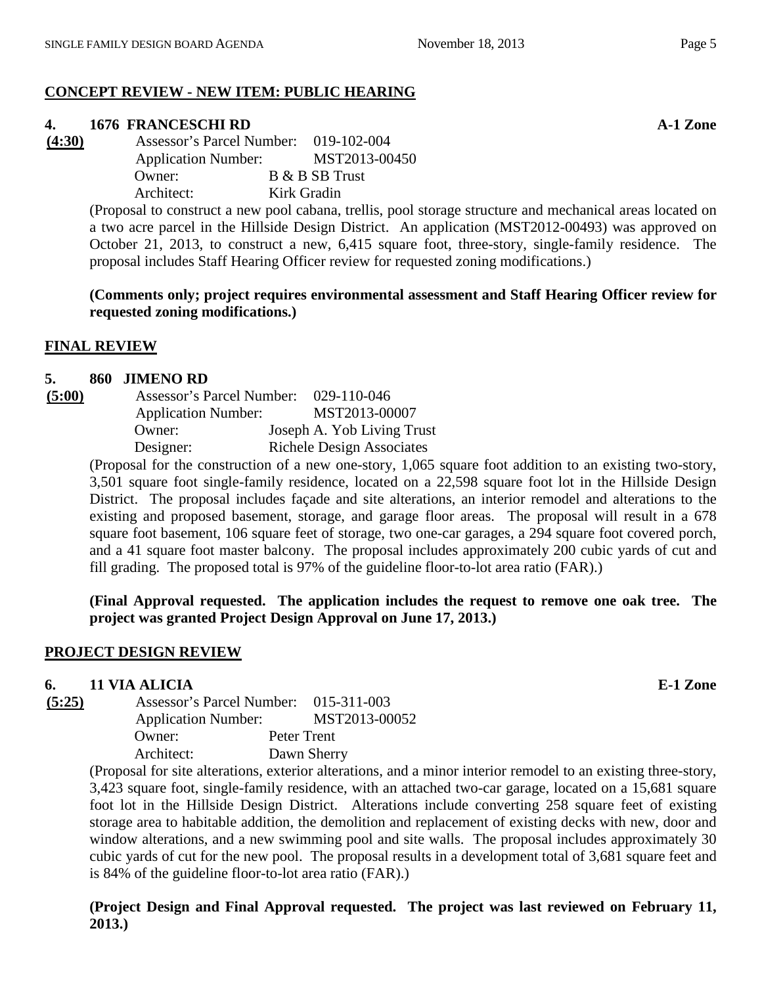# **CONCEPT REVIEW - NEW ITEM: PUBLIC HEARING**

# **4. 1676 FRANCESCHI RD A-1 Zone**

**(4:30)** Assessor's Parcel Number: 019-102-004 Application Number: MST2013-00450 Owner: B & B SB Trust Architect: Kirk Gradin

> (Proposal to construct a new pool cabana, trellis, pool storage structure and mechanical areas located on a two acre parcel in the Hillside Design District. An application (MST2012-00493) was approved on October 21, 2013, to construct a new, 6,415 square foot, three-story, single-family residence. The proposal includes Staff Hearing Officer review for requested zoning modifications.)

> **(Comments only; project requires environmental assessment and Staff Hearing Officer review for requested zoning modifications.)**

#### **FINAL REVIEW**

#### **5. 860 JIMENO RD**

| (5:00) | Assessor's Parcel Number:                                   | 029-110-046                      |
|--------|-------------------------------------------------------------|----------------------------------|
|        | <b>Application Number:</b>                                  | MST2013-00007                    |
|        | Owner:                                                      | Joseph A. Yob Living Trust       |
|        | Designer:                                                   | <b>Richele Design Associates</b> |
|        | $(Dranes)$ for the construction of a new and stage. $1.065$ |                                  |

(Proposal for the construction of a new one-story, 1,065 square foot addition to an existing two-story, 3,501 square foot single-family residence, located on a 22,598 square foot lot in the Hillside Design District. The proposal includes façade and site alterations, an interior remodel and alterations to the existing and proposed basement, storage, and garage floor areas. The proposal will result in a 678 square foot basement, 106 square feet of storage, two one-car garages, a 294 square foot covered porch, and a 41 square foot master balcony. The proposal includes approximately 200 cubic yards of cut and fill grading. The proposed total is 97% of the guideline floor-to-lot area ratio (FAR).)

**(Final Approval requested. The application includes the request to remove one oak tree. The project was granted Project Design Approval on June 17, 2013.)**

#### **PROJECT DESIGN REVIEW**

#### **6. 11 VIA ALICIA E-1 Zone**

**(5:25)** Assessor's Parcel Number: 015-311-003 Application Number: MST2013-00052 Owner: Peter Trent Architect: Dawn Sherry

(Proposal for site alterations, exterior alterations, and a minor interior remodel to an existing three-story, 3,423 square foot, single-family residence, with an attached two-car garage, located on a 15,681 square foot lot in the Hillside Design District. Alterations include converting 258 square feet of existing storage area to habitable addition, the demolition and replacement of existing decks with new, door and window alterations, and a new swimming pool and site walls. The proposal includes approximately 30 cubic yards of cut for the new pool. The proposal results in a development total of 3,681 square feet and is 84% of the guideline floor-to-lot area ratio (FAR).)

**(Project Design and Final Approval requested. The project was last reviewed on February 11, 2013.)**